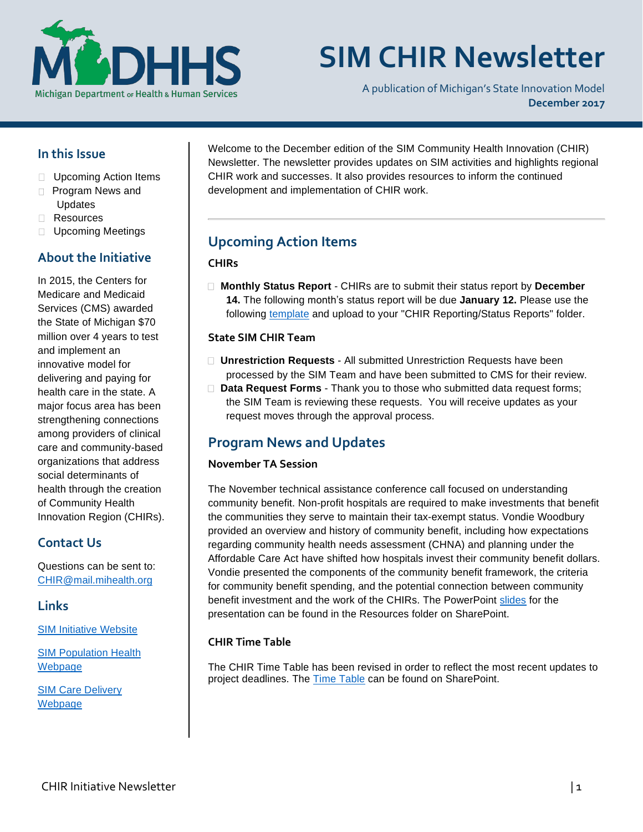

# **SIM CHIR Newsletter**

A publication of Michigan's State Innovation Model **December 2017**

### **In this Issue**

- □ Upcoming Action Items
- **Program News and** Updates
- Resources
- **Upcoming Meetings**

# **About the Initiative**

In 2015, the Centers for Medicare and Medicaid Services (CMS) awarded the State of Michigan \$70 million over 4 years to test and implement an innovative model for delivering and paying for health care in the state. A major focus area has been strengthening connections among providers of clinical care and community-based organizations that address social determinants of health through the creation of Community Health Innovation Region (CHIRs).

# **Contact Us**

Questions can be sent to: [CHIR@mail.mihealth.org](mailto:CHIR@mail.mihealth.org)

#### **Links**

[SIM Initiative Websit](http://www.michigan.gov/mdhhs/0,5885,7-339-71551_2945_64491_76092---,00.html)e

[SIM](http://www.michigan.gov/mdhhs/0,5885,7-339-71551_2945_64491_76092_77453---,00.html) [Population Healt](http://www.michigan.gov/mdhhs/0,5885,7-339-71551_2945_64491_76092_77453---,00.html)h [Webpage](http://www.michigan.gov/mdhhs/0,5885,7-339-71551_2945_64491_76092_77453---,00.html)

SIM [Care Delivery](http://www.michigan.gov/mdhhs/0,5885,7-339-71551_2945_64491_76092_77452---,00.html) [Webpage](http://www.michigan.gov/mdhhs/0,5885,7-339-71551_2945_64491_76092_77452---,00.html)

Welcome to the December edition of the SIM Community Health Innovation (CHIR) Newsletter. The newsletter provides updates on SIM activities and highlights regional CHIR work and successes. It also provides resources to inform the continued development and implementation of CHIR work.

# **Upcoming Action Items**

#### **CHIRs**

 **Monthly Status Report** - CHIRs are to submit their status report by **December 14.** The following month's status report will be due **January 12.** Please use the following [template](https://stateofmichigan.sharepoint.com/teams/dhhs/bic/msacss/SIM/_layouts/15/WopiFrame.aspx?sourcedoc=%7b8960e28a-266a-4cfa-9648-81dfc7d62ba3%7d&action=edit&wdPid=1188cae2) and upload to your "CHIR Reporting/Status Reports" folder.

#### **State SIM CHIR Team**

- **Unrestriction Requests** All submitted Unrestriction Requests have been processed by the SIM Team and have been submitted to CMS for their review.
- **Data Request Forms** Thank you to those who submitted data request forms; the SIM Team is reviewing these requests. You will receive updates as your request moves through the approval process.

# **Program News and Updates**

#### **November TA Session**

The November technical assistance conference call focused on understanding community benefit. Non-profit hospitals are required to make investments that benefit the communities they serve to maintain their tax-exempt status. Vondie Woodbury provided an overview and history of community benefit, including how expectations regarding community health needs assessment (CHNA) and planning under the Affordable Care Act have shifted how hospitals invest their community benefit dollars. Vondie presented the components of the community benefit framework, the criteria for community benefit spending, and the potential connection between community benefit investment and the work of the CHIRs. The PowerPoint [slides](https://stateofmichigan.sharepoint.com/teams/dhhs/bic/msacss/SIM/All%20CHIRs/Resources/Presentations/2017.11.28%20Community%20Benefit.pdf) for the presentation can be found in the Resources folder on SharePoint.

#### **CHIR Time Table**

The CHIR Time Table has been revised in order to reflect the most recent updates to project deadlines. The [Time Table](https://stateofmichigan.sharepoint.com/teams/dhhs/bic/msacss/SIM/All%20CHIRs/Resources/Miscellaneous/CHIR%20Time%20Table.pdf) can be found on SharePoint.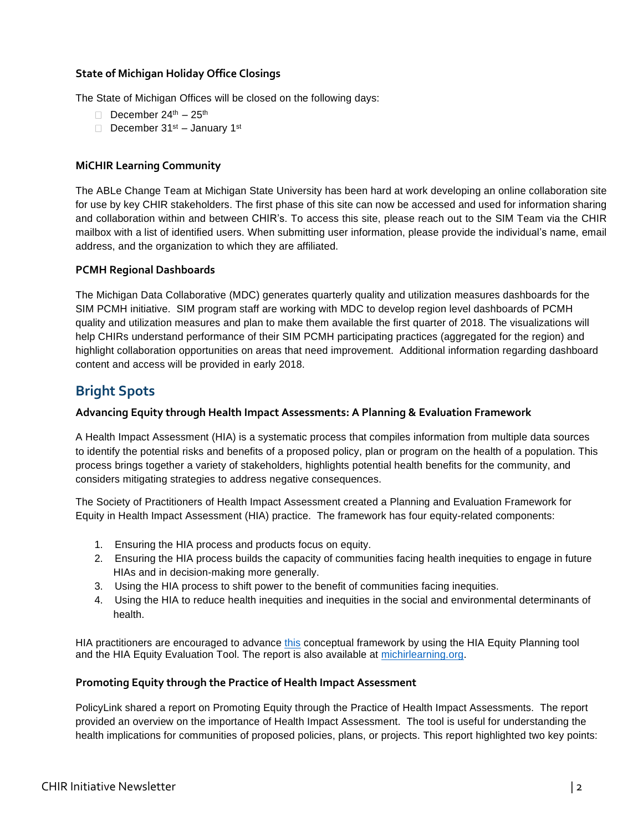#### **State of Michigan Holiday Office Closings**

The State of Michigan Offices will be closed on the following days:

- December  $24^{\text{th}} 25^{\text{th}}$
- December 31<sup>st</sup> January 1<sup>st</sup>

#### **MiCHIR Learning Community**

The ABLe Change Team at Michigan State University has been hard at work developing an online collaboration site for use by key CHIR stakeholders. The first phase of this site can now be accessed and used for information sharing and collaboration within and between CHIR's. To access this site, please reach out to the SIM Team via the CHIR mailbox with a list of identified users. When submitting user information, please provide the individual's name, email address, and the organization to which they are affiliated.

#### **PCMH Regional Dashboards**

The Michigan Data Collaborative (MDC) generates quarterly quality and utilization measures dashboards for the SIM PCMH initiative. SIM program staff are working with MDC to develop region level dashboards of PCMH quality and utilization measures and plan to make them available the first quarter of 2018. The visualizations will help CHIRs understand performance of their SIM PCMH participating practices (aggregated for the region) and highlight collaboration opportunities on areas that need improvement. Additional information regarding dashboard content and access will be provided in early 2018.

# **Bright Spots**

#### **Advancing Equity through Health Impact Assessments: A Planning & Evaluation Framework**

A Health Impact Assessment (HIA) is a systematic process that compiles information from multiple data sources to identify the potential risks and benefits of a proposed policy, plan or program on the health of a population. This process brings together a variety of stakeholders, highlights potential health benefits for the community, and considers mitigating strategies to address negative consequences.

The Society of Practitioners of Health Impact Assessment created a Planning and Evaluation Framework for Equity in Health Impact Assessment (HIA) practice. The framework has four equity-related components:

- 1. Ensuring the HIA process and products focus on equity.
- 2. Ensuring the HIA process builds the capacity of communities facing health inequities to engage in future HIAs and in decision-making more generally.
- 3. Using the HIA process to shift power to the benefit of communities facing inequities.
- 4. Using the HIA to reduce health inequities and inequities in the social and environmental determinants of health.

HIA practitioners are encouraged to advance this [conceptual](http://www.humanimpact.org/wp-content/uploads/SOPHIA_EquityMetricsV2_2016.11.pdf) framework by using the HIA Equity Planning tool and the HIA Equity Evaluation Tool. The report is also available at [michirlearning.org.](michirlearning.org)

#### **Promoting Equity through the Practice of Health Impact Assessment**

PolicyLink shared a report on Promoting Equity through the Practice of Health Impact Assessments. The report provided an overview on the importance of Health Impact Assessment. The tool is useful for understanding the health implications for communities of proposed policies, plans, or projects. This report highlighted two key points: